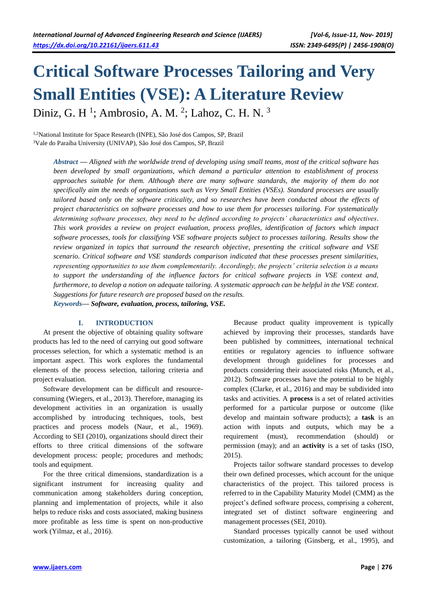# **Critical Software Processes Tailoring and Very Small Entities (VSE): A Literature Review** Diniz, G. H<sup>1</sup>; Ambrosio, A. M.<sup>2</sup>; Lahoz, C. H. N.<sup>3</sup>

1,2National Institute for Space Research (INPE), São José dos Campos, SP, Brazil <sup>3</sup>Vale do Paraíba University (UNIVAP), São José dos Campos, SP, Brazil

*Abstract* **—** *Aligned with the worldwide trend of developing using small teams, most of the critical software has been developed by small organizations, which demand a particular attention to establishment of process approaches suitable for them. Although there are many software standards, the majority of them do not specifically aim the needs of organizations such as Very Small Entities (VSEs). Standard processes are usually tailored based only on the software criticality, and so researches have been conducted about the effects of project characteristics on software processes and how to use them for processes tailoring. For systematically determining software processes, they need to be defined according to projects' characteristics and objectives. This work provides a review on project evaluation, process profiles, identification of factors which impact software processes, tools for classifying VSE software projects subject to processes tailoring. Results show the review organized in topics that surround the research objective, presenting the critical software and VSE scenario. Critical software and VSE standards comparison indicated that these processes present similarities, representing opportunities to use them complementarily. Accordingly, the projects' criteria selection is a means to support the understanding of the influence factors for critical software projects in VSE context and, furthermore, to develop a notion on adequate tailoring. A systematic approach can be helpful in the VSE context. Suggestions for future research are proposed based on the results. Keywords***—** *Software, evaluation, process, tailoring, VSE.*

#### **I. INTRODUCTION**

At present the objective of obtaining quality software products has led to the need of carrying out good software processes selection, for which a systematic method is an important aspect. This work explores the fundamental elements of the process selection, tailoring criteria and project evaluation.

Software development can be difficult and resourceconsuming (Wiegers, et al., 2013). Therefore, managing its development activities in an organization is usually accomplished by introducing techniques, tools, best practices and process models (Naur, et al., 1969). According to SEI (2010), organizations should direct their efforts to three critical dimensions of the software development process: people; procedures and methods; tools and equipment.

For the three critical dimensions, standardization is a significant instrument for increasing quality and communication among stakeholders during conception, planning and implementation of projects, while it also helps to reduce risks and costs associated, making business more profitable as less time is spent on non-productive work (Yilmaz, et al., 2016).

Because product quality improvement is typically achieved by improving their processes, standards have been published by committees, international technical entities or regulatory agencies to influence software development through guidelines for processes and products considering their associated risks (Munch, et al., 2012). Software processes have the potential to be highly complex (Clarke, et al., 2016) and may be subdivided into tasks and activities. A **process** is a set of related activities performed for a particular purpose or outcome (like develop and maintain software products); a **task** is an action with inputs and outputs, which may be a requirement (must), recommendation (should) or permission (may); and an **activity** is a set of tasks (ISO, 2015).

Projects tailor software standard processes to develop their own defined processes, which account for the unique characteristics of the project. This tailored process is referred to in the Capability Maturity Model (CMM) as the project's defined software process, comprising a coherent, integrated set of distinct software engineering and management processes (SEI, 2010).

Standard processes typically cannot be used without customization, a tailoring (Ginsberg, et al., 1995), and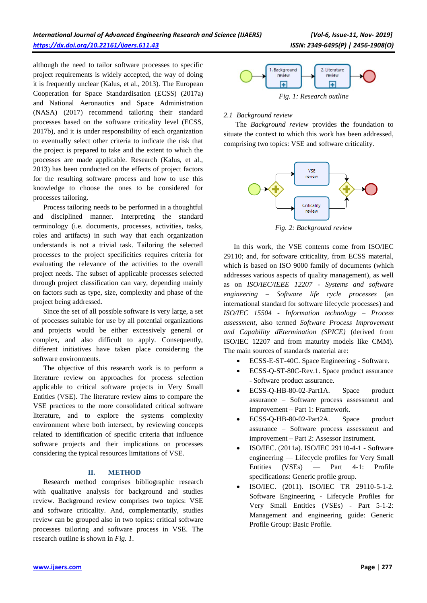although the need to tailor software processes to specific project requirements is widely accepted, the way of doing it is frequently unclear (Kalus, et al., 2013). The European Cooperation for Space Standardisation (ECSS) (2017a) and National Aeronautics and Space Administration (NASA) (2017) recommend tailoring their standard processes based on the software criticality level (ECSS, 2017b), and it is under responsibility of each organization to eventually select other criteria to indicate the risk that the project is prepared to take and the extent to which the processes are made applicable. Research (Kalus, et al., 2013) has been conducted on the effects of project factors for the resulting software process and how to use this knowledge to choose the ones to be considered for processes tailoring.

Process tailoring needs to be performed in a thoughtful and disciplined manner. Interpreting the standard terminology (i.e. documents, processes, activities, tasks, roles and artifacts) in such way that each organization understands is not a trivial task. Tailoring the selected processes to the project specificities requires criteria for evaluating the relevance of the activities to the overall project needs. The subset of applicable processes selected through project classification can vary, depending mainly on factors such as type, size, complexity and phase of the project being addressed.

Since the set of all possible software is very large, a set of processes suitable for use by all potential organizations and projects would be either excessively general or complex, and also difficult to apply. Consequently, different initiatives have taken place considering the software environments.

The objective of this research work is to perform a literature review on approaches for process selection applicable to critical software projects in Very Small Entities (VSE). The literature review aims to compare the VSE practices to the more consolidated critical software literature, and to explore the systems complexity environment where both intersect, by reviewing concepts related to identification of specific criteria that influence software projects and their implications on processes considering the typical resources limitations of VSE.

## **II. METHOD**

Research method comprises bibliographic research with qualitative analysis for background and studies review. Background review comprises two topics: VSE and software criticality. And, complementarily, studies review can be grouped also in two topics: critical software processes tailoring and software process in VSE. The research outline is shown in *Fig. 1*.



*Fig. 1: Research outline*

## *2.1 Background review*

The *Background review* provides the foundation to situate the context to which this work has been addressed, comprising two topics: VSE and software criticality.



*Fig. 2: Background review*

In this work, the VSE contents come from ISO/IEC 29110; and, for software criticality, from ECSS material, which is based on ISO 9000 family of documents (which addresses various aspects of quality management), as well as on *ISO/IEC/IEEE 12207 - Systems and software engineering – Software life cycle processes* (an international standard for software lifecycle processes) and *ISO/IEC 15504 - Information technology – Process assessment*, also termed *Software Process Improvement and Capability dEtermination (SPICE)* (derived from ISO/IEC 12207 and from maturity models like CMM). The main sources of standards material are:

- ECSS-E-ST-40C. Space Engineering Software.
- ECSS-Q-ST-80C-Rev.1. Space product assurance - Software product assurance.
- ECSS-Q-HB-80-02-Part1A. Space product assurance – Software process assessment and improvement – Part 1: Framework.
- ECSS-Q-HB-80-02-Part2A. Space product assurance – Software process assessment and improvement – Part 2: Assessor Instrument.
- ISO/IEC. (2011a). ISO/IEC 29110-4-1 Software engineering — Lifecycle profiles for Very Small Entities (VSEs) — Part 4-1: Profile specifications: Generic profile group.
- ISO/IEC. (2011). ISO/IEC TR 29110-5-1-2. Software Engineering - Lifecycle Profiles for Very Small Entities (VSEs) - Part 5-1-2: Management and engineering guide: Generic Profile Group: Basic Profile.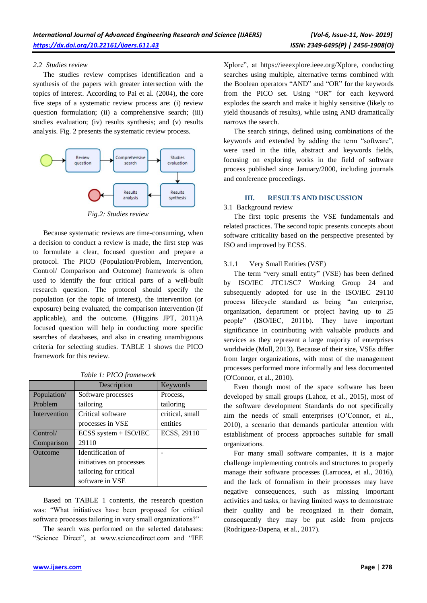#### *2.2 Studies review*

The studies review comprises identification and a synthesis of the papers with greater intersection with the topics of interest. According to Pai et al. (2004), the core five steps of a systematic review process are: (i) review question formulation; (ii) a comprehensive search; (iii) studies evaluation; (iv) results synthesis; and (v) results analysis. Fig. 2 presents the systematic review process.



*Fig.2: Studies review*

Because systematic reviews are time-consuming, when a decision to conduct a review is made, the first step was to formulate a clear, focused question and prepare a protocol. The PICO (Population/Problem, Intervention, Control/ Comparison and Outcome) framework is often used to identify the four critical parts of a well-built research question. The protocol should specify the population (or the topic of interest), the intervention (or exposure) being evaluated, the comparison intervention (if applicable), and the outcome. (Higgins JPT, 2011)A focused question will help in conducting more specific searches of databases, and also in creating unambiguous criteria for selecting studies. TABLE 1 shows the PICO framework for this review.

|              | Description               | Keywords        |
|--------------|---------------------------|-----------------|
| Population/  | Software processes        | Process,        |
| Problem      | tailoring                 | tailoring       |
| Intervention | Critical software         | critical, small |
|              | processes in VSE          | entities        |
| Control/     | $ECSS$ system + $ISO/IEC$ | ECSS, 29110     |
| Comparison   | 29110                     |                 |
| Outcome      | Identification of         |                 |
|              | initiatives on processes  |                 |
|              | tailoring for critical    |                 |
|              | software in VSE           |                 |

*Table 1: PICO framework*

Based on TABLE 1 contents, the research question was: "What initiatives have been proposed for critical software processes tailoring in very small organizations?"

The search was performed on the selected databases: "Science Direct", at www.sciencedirect.com and "IEE Xplore", at https://ieeexplore.ieee.org/Xplore, conducting searches using multiple, alternative terms combined with the Boolean operators "AND" and "OR" for the keywords from the PICO set. Using "OR" for each keyword explodes the search and make it highly sensitive (likely to yield thousands of results), while using AND dramatically narrows the search.

The search strings, defined using combinations of the keywords and extended by adding the term "software", were used in the title, abstract and keywords fields, focusing on exploring works in the field of software process published since January/2000, including journals and conference proceedings.

## **III. RESULTS AND DISCUSSION**

## 3.1 Background review

The first topic presents the VSE fundamentals and related practices. The second topic presents concepts about software criticality based on the perspective presented by ISO and improved by ECSS.

## 3.1.1 Very Small Entities (VSE)

The term "very small entity" (VSE) has been defined by ISO/IEC JTC1/SC7 Working Group 24 and subsequently adopted for use in the ISO/IEC 29110 process lifecycle standard as being "an enterprise, organization, department or project having up to 25 people" (ISO/IEC, 2011b). They have important significance in contributing with valuable products and services as they represent a large majority of enterprises worldwide (Moll, 2013). Because of their size, VSEs differ from larger organizations, with most of the management processes performed more informally and less documented (O'Connor, et al., 2010).

Even though most of the space software has been developed by small groups (Lahoz, et al., 2015), most of the software development Standards do not specifically aim the needs of small enterprises (O'Connor, et al., 2010), a scenario that demands particular attention with establishment of process approaches suitable for small organizations.

For many small software companies, it is a major challenge implementing controls and structures to properly manage their software processes (Larrucea, et al., 2016), and the lack of formalism in their processes may have negative consequences, such as missing important activities and tasks, or having limited ways to demonstrate their quality and be recognized in their domain, consequently they may be put aside from projects (Rodríguez-Dapena, et al., 2017).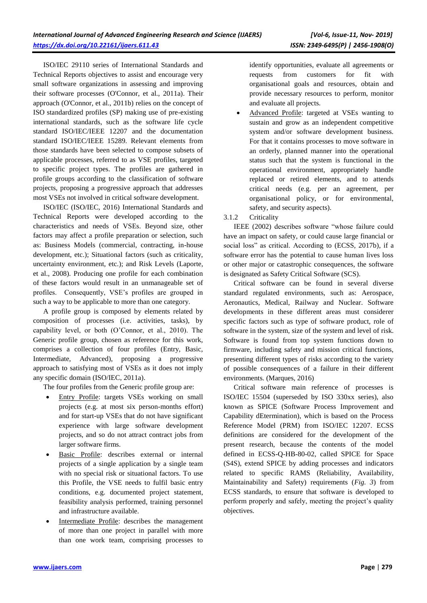ISO/IEC 29110 series of International Standards and Technical Reports objectives to assist and encourage very small software organizations in assessing and improving their software processes (O'Connor, et al., 2011a). Their approach (O'Connor, et al., 2011b) relies on the concept of ISO standardized profiles (SP) making use of pre-existing international standards, such as the software life cycle standard ISO/IEC/IEEE 12207 and the documentation standard ISO/IEC/IEEE 15289. Relevant elements from those standards have been selected to compose subsets of applicable processes, referred to as VSE profiles, targeted to specific project types. The profiles are gathered in profile groups according to the classification of software projects, proposing a progressive approach that addresses most VSEs not involved in critical software development.

ISO/IEC (ISO/IEC, 2016) International Standards and Technical Reports were developed according to the characteristics and needs of VSEs. Beyond size, other factors may affect a profile preparation or selection, such as: Business Models (commercial, contracting, in-house development, etc.); Situational factors (such as criticality, uncertainty environment, etc.); and Risk Levels (Laporte, et al., 2008). Producing one profile for each combination of these factors would result in an unmanageable set of profiles. Consequently, VSE's profiles are grouped in such a way to be applicable to more than one category.

A profile group is composed by elements related by composition of processes (i.e. activities, tasks), by capability level, or both (O'Connor, et al., 2010). The Generic profile group, chosen as reference for this work, comprises a collection of four profiles (Entry, Basic, Intermediate, Advanced), proposing a progressive approach to satisfying most of VSEs as it does not imply any specific domain (ISO/IEC, 2011a).

The four profiles from the Generic profile group are:

- Entry Profile: targets VSEs working on small projects (e.g. at most six person-months effort) and for start-up VSEs that do not have significant experience with large software development projects, and so do not attract contract jobs from larger software firms.
- Basic Profile: describes external or internal projects of a single application by a single team with no special risk or situational factors. To use this Profile, the VSE needs to fulfil basic entry conditions, e.g. documented project statement, feasibility analysis performed, training personnel and infrastructure available.
- Intermediate Profile: describes the management of more than one project in parallel with more than one work team, comprising processes to

identify opportunities, evaluate all agreements or requests from customers for fit with organisational goals and resources, obtain and provide necessary resources to perform, monitor and evaluate all projects.

 Advanced Profile: targeted at VSEs wanting to sustain and grow as an independent competitive system and/or software development business. For that it contains processes to move software in an orderly, planned manner into the operational status such that the system is functional in the operational environment, appropriately handle replaced or retired elements, and to attends critical needs (e.g. per an agreement, per organisational policy, or for environmental, safety, and security aspects).

## 3.1.2 Criticality

IEEE (2002) describes software "whose failure could have an impact on safety, or could cause large financial or social loss" as critical. According to (ECSS, 2017b), if a software error has the potential to cause human lives loss or other major or catastrophic consequences, the software is designated as Safety Critical Software (SCS).

Critical software can be found in several diverse standard regulated environments, such as: Aerospace, Aeronautics, Medical, Railway and Nuclear. Software developments in these different areas must considerer specific factors such as type of software product, role of software in the system, size of the system and level of risk. Software is found from top system functions down to firmware, including safety and mission critical functions, presenting different types of risks according to the variety of possible consequences of a failure in their different environments. (Marques, 2016)

Critical software main reference of processes is ISO/IEC 15504 (superseded by ISO 330xx series), also known as SPICE (Software Process Improvement and Capability dEtermination), which is based on the Process Reference Model (PRM) from ISO/IEC 12207. ECSS definitions are considered for the development of the present research, because the contents of the model defined in ECSS-Q-HB-80-02, called SPICE for Space (S4S), extend SPICE by adding processes and indicators related to specific RAMS (Reliability, Availability, Maintainability and Safety) requirements (*Fig. 3*) from ECSS standards, to ensure that software is developed to perform properly and safely, meeting the project's quality objectives.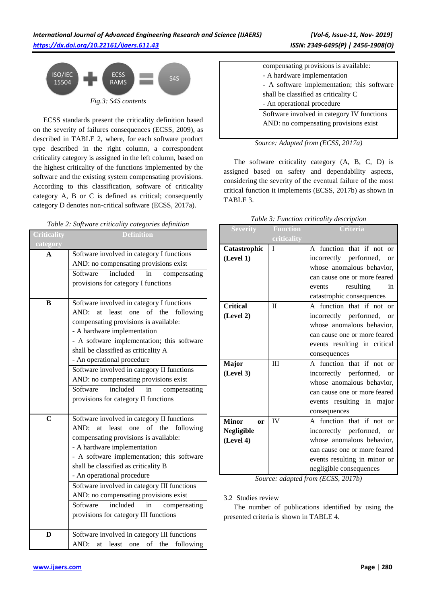

ECSS standards present the criticality definition based on the severity of failures consequences (ECSS, 2009), as described in TABLE 2, where, for each software product type described in the right column, a correspondent criticality category is assigned in the left column, based on the highest criticality of the functions implemented by the software and the existing system compensating provisions. According to this classification, software of criticality category A, B or C is defined as critical; consequently category D denotes non-critical software (ECSS, 2017a).

|  |  |  | Table 2: Software criticality categories definition |  |
|--|--|--|-----------------------------------------------------|--|
|--|--|--|-----------------------------------------------------|--|

| Criticality    | <b>Definition</b>                                                                    |  |  |
|----------------|--------------------------------------------------------------------------------------|--|--|
| category<br>A  | Software involved in category I functions                                            |  |  |
|                | AND: no compensating provisions exist                                                |  |  |
|                | included<br>Software<br>in<br>compensating                                           |  |  |
|                | provisions for category I functions                                                  |  |  |
| B              | Software involved in category I functions                                            |  |  |
|                | of the<br>AND:<br>least one<br>following<br>at                                       |  |  |
|                | compensating provisions is available:<br>- A hardware implementation                 |  |  |
|                | - A software implementation; this software                                           |  |  |
|                | shall be classified as criticality A                                                 |  |  |
|                | - An operational procedure                                                           |  |  |
|                | Software involved in category II functions                                           |  |  |
|                | AND: no compensating provisions exist                                                |  |  |
|                | included<br>Software<br>in<br>compensating                                           |  |  |
|                | provisions for category II functions                                                 |  |  |
| $\overline{C}$ | Software involved in category II functions                                           |  |  |
|                | AND:<br>at least one of the<br>following                                             |  |  |
|                | compensating provisions is available:                                                |  |  |
|                | - A hardware implementation                                                          |  |  |
|                | - A software implementation; this software                                           |  |  |
|                | shall be classified as criticality B                                                 |  |  |
|                | - An operational procedure                                                           |  |  |
|                | Software involved in category III functions<br>AND: no compensating provisions exist |  |  |
|                | included<br>Software<br>compensating<br>in                                           |  |  |
|                | provisions for category III functions                                                |  |  |
|                |                                                                                      |  |  |
| D              | Software involved in category III functions                                          |  |  |
|                | of the<br>following<br>AND:<br>at least<br>one                                       |  |  |

| compensating provisions is available:      |
|--------------------------------------------|
| - A hardware implementation                |
| - A software implementation; this software |
| shall be classified as criticality C       |
| - An operational procedure                 |
| Software involved in category IV functions |
| AND: no compensating provisions exist      |
|                                            |

|  | Source: Adapted from (ECSS, 2017a) |  |  |  |
|--|------------------------------------|--|--|--|
|--|------------------------------------|--|--|--|

The software criticality category (A, B, C, D) is assigned based on safety and dependability aspects, considering the severity of the eventual failure of the most critical function it implements (ECSS, 2017b) as shown in TABLE 3.

|  |  |  | Table 3: Function criticality description |
|--|--|--|-------------------------------------------|
|--|--|--|-------------------------------------------|

| <b>Severity</b>               | Function     | <b>Criteria</b>                     |  |
|-------------------------------|--------------|-------------------------------------|--|
|                               | criticality  |                                     |  |
| Catastrophic                  | $\mathbf I$  | A function that if not or           |  |
| (Level 1)                     |              | incorrectly performed,<br><b>or</b> |  |
|                               |              | whose anomalous behavior,           |  |
|                               |              | can cause one or more feared        |  |
|                               |              | resulting<br>in<br>events           |  |
|                               |              | catastrophic consequences           |  |
| <b>Critical</b>               | $\mathbf{I}$ | A function that if not or           |  |
| (Level 2)                     |              | incorrectly performed, or           |  |
|                               |              | whose anomalous behavior,           |  |
|                               |              | can cause one or more feared        |  |
|                               |              | events resulting in critical        |  |
|                               |              | consequences                        |  |
| <b>Major</b>                  | III          | A function that if not<br>$\alpha$  |  |
| (Level 3)                     |              | incorrectly performed, or           |  |
|                               |              | whose anomalous behavior,           |  |
|                               |              | can cause one or more feared        |  |
|                               |              | events resulting in major           |  |
|                               |              | consequences                        |  |
| <b>Minor</b><br><sub>or</sub> | IV           | A function that if not<br>or        |  |
| <b>Negligible</b>             |              | incorrectly performed, or           |  |
| (Level 4)                     |              | whose anomalous behavior,           |  |
|                               |              | can cause one or more feared        |  |
|                               |              | events resulting in minor or        |  |
|                               |              | negligible consequences             |  |
| $C_{\text{max}}$              |              | an adamted from $(ECCC, 2017)$      |  |

*Source: adapted from (ECSS, 2017b)*

## 3.2 Studies review

The number of publications identified by using the presented criteria is shown in TABLE 4.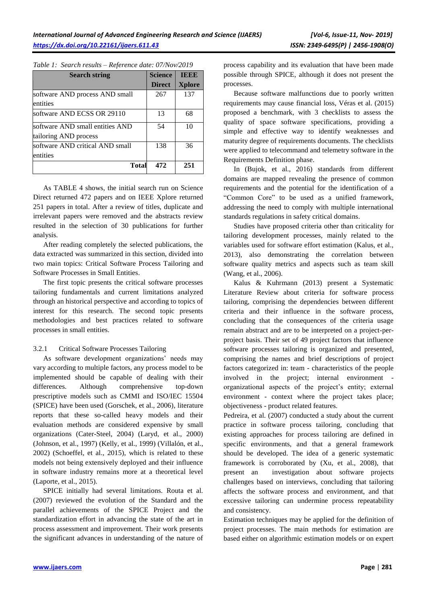| <b>Search string</b>            | <b>Science</b> | <b>TEEE</b>   |
|---------------------------------|----------------|---------------|
|                                 | <b>Direct</b>  | <b>Xplore</b> |
| software AND process AND small  | 267            | 137           |
| entities                        |                |               |
| software AND ECSS OR 29110      | 13             | 68            |
| software AND small entities AND | 54             | 10            |
| tailoring AND process           |                |               |
| software AND critical AND small | 138            | 36            |
| entities                        |                |               |
| <b>Total</b>                    | 472            | 251           |

*Table 1: Search results – Reference date: 07/Nov/2019*

As TABLE 4 shows, the initial search run on Science Direct returned 472 papers and on IEEE Xplore returned 251 papers in total. After a review of titles, duplicate and irrelevant papers were removed and the abstracts review resulted in the selection of 30 publications for further analysis.

After reading completely the selected publications, the data extracted was summarized in this section, divided into two main topics: Critical Software Process Tailoring and Software Processes in Small Entities.

The first topic presents the critical software processes tailoring fundamentals and current limitations analyzed through an historical perspective and according to topics of interest for this research. The second topic presents methodologies and best practices related to software processes in small entities.

## 3.2.1 Critical Software Processes Tailoring

As software development organizations' needs may vary according to multiple factors, any process model to be implemented should be capable of dealing with their differences. Although comprehensive top-down prescriptive models such as CMMI and ISO/IEC 15504 (SPICE) have been used (Gorschek, et al., 2006), literature reports that these so-called heavy models and their evaluation methods are considered expensive by small organizations (Cater-Steel, 2004) (Laryd, et al., 2000) (Johnson, et al., 1997) (Kelly, et al., 1999) (Villalón, et al., 2002) (Schoeffel, et al., 2015), which is related to these models not being extensively deployed and their influence in software industry remains more at a theoretical level (Laporte, et al., 2015).

SPICE initially had several limitations. Routa et al. (2007) reviewed the evolution of the Standard and the parallel achievements of the SPICE Project and the standardization effort in advancing the state of the art in process assessment and improvement. Their work presents the significant advances in understanding of the nature of process capability and its evaluation that have been made possible through SPICE, although it does not present the processes.

Because software malfunctions due to poorly written requirements may cause financial loss, Véras et al. (2015) proposed a benchmark, with 3 checklists to assess the quality of space software specifications, providing a simple and effective way to identify weaknesses and maturity degree of requirements documents. The checklists were applied to telecommand and telemetry software in the Requirements Definition phase.

In (Bujok, et al., 2016) standards from different domains are mapped revealing the presence of common requirements and the potential for the identification of a "Common Core" to be used as a unified framework, addressing the need to comply with multiple international standards regulations in safety critical domains.

Studies have proposed criteria other than criticality for tailoring development processes, mainly related to the variables used for software effort estimation (Kalus, et al., 2013), also demonstrating the correlation between software quality metrics and aspects such as team skill (Wang, et al., 2006).

Kalus & Kuhrmann (2013) present a Systematic Literature Review about criteria for software process tailoring, comprising the dependencies between different criteria and their influence in the software process, concluding that the consequences of the criteria usage remain abstract and are to be interpreted on a project-perproject basis. Their set of 49 project factors that influence software processes tailoring is organized and presented, comprising the names and brief descriptions of project factors categorized in: team - characteristics of the people involved in the project; internal environment organizational aspects of the project's entity; external environment - context where the project takes place; objectiveness - product related features.

Pedreira, et al. (2007) conducted a study about the current practice in software process tailoring, concluding that existing approaches for process tailoring are defined in specific environments, and that a general framework should be developed. The idea of a generic systematic framework is corroborated by (Xu, et al., 2008), that present an investigation about software projects challenges based on interviews, concluding that tailoring affects the software process and environment, and that excessive tailoring can undermine process repeatability and consistency.

Estimation techniques may be applied for the definition of project processes. The main methods for estimation are based either on algorithmic estimation models or on expert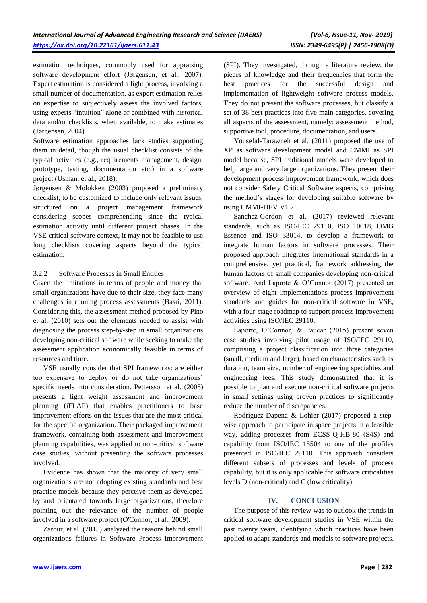estimation techniques, commonly used for appraising software development effort (Jørgensen, et al., 2007). Expert estimation is considered a light process, involving a small number of documentation, as expert estimation relies on expertise to subjectively assess the involved factors, using experts "intuition" alone or combined with historical data and/or checklists, when available, to make estimates (Jørgensen, 2004).

Software estimation approaches lack studies supporting them in detail, though the usual checklist consists of the typical activities (e.g., requirements management, design, prototype, testing, documentation etc.) in a software project (Usman, et al., 2018).

Jørgensen & Molokken (2003) proposed a preliminary checklist, to be customized to include only relevant issues, structured on a project management framework considering scopes comprehending since the typical estimation activity until different project phases. In the VSE critical software context, it may not be feasible to use long checklists covering aspects beyond the typical estimation.

## 3.2.2 Software Processes in Small Entities

Given the limitations in terms of people and money that small organizations have due to their size, they face many challenges in running process assessments (Basri, 2011). Considering this, the assessment method proposed by Pino et al. (2010) sets out the elements needed to assist with diagnosing the process step-by-step in small organizations developing non-critical software while seeking to make the assessment application economically feasible in terms of resources and time.

VSE usually consider that SPI frameworks: are either too expensive to deploy or do not take organizations' specific needs into consideration. Pettersson et al. (2008) presents a light weight assessment and improvement planning (iFLAP) that enables practitioners to base improvement efforts on the issues that are the most critical for the specific organization. Their packaged improvement framework, containing both assessment and improvement planning capabilities, was applied to non-critical software case studies, without presenting the software processes involved.

Evidence has shown that the majority of very small organizations are not adopting existing standards and best practice models because they perceive them as developed by and orientated towards large organizations, therefore pointing out the relevance of the number of people involved in a software project (O'Connor, et al., 2009).

Zarour, et al. (2015) analyzed the reasons behind small organizations failures in Software Process Improvement (SPI). They investigated, through a literature review, the pieces of knowledge and their frequencies that form the best practices for the successful design and implementation of lightweight software process models. They do not present the software processes, but classify a set of 38 best practices into five main categories, covering all aspects of the assessment, namely: assessment method, supportive tool, procedure, documentation, and users.

Yousefal-Tarawneh et al. (2011) proposed the use of XP as software development model and CMMI as SPI model because, SPI traditional models were developed to help large and very large organizations. They present their development process improvement framework, which does not consider Safety Critical Software aspects, comprising the method's stages for developing suitable software by using CMMI-DEV V1.2.

Sanchez-Gordon et al. (2017) reviewed relevant standards, such as ISO/IEC 29110, ISO 10018, OMG Essence and ISO 33014, to develop a framework to integrate human factors in software processes. Their proposed approach integrates international standards in a comprehensive, yet practical, framework addressing the human factors of small companies developing non-critical software. And Laporte & O'Connor (2017) presented an overview of eight implementations process improvement standards and guides for non-critical software in VSE, with a four-stage roadmap to support process improvement activities using ISO/IEC 29110.

Laporte, O'Connor, & Paucar (2015) present seven case studies involving pilot usage of ISO/IEC 29110, comprising a project classification into three categories (small, medium and large), based on characteristics such as duration, team size, number of engineering specialties and engineering fees. This study demonstrated that it is possible to plan and execute non-critical software projects in small settings using proven practices to significantly reduce the number of discrepancies.

Rodríguez-Dapena & Lohier (2017) proposed a stepwise approach to participate in space projects in a feasible way, adding processes from ECSS-Q-HB-80 (S4S) and capability from ISO/IEC 15504 to one of the profiles presented in ISO/IEC 29110. This approach considers different subsets of processes and levels of process capability, but it is only applicable for software criticalities levels D (non-critical) and C (low criticality).

#### **IV. CONCLUSION**

The purpose of this review was to outlook the trends in critical software development studies in VSE within the past twenty years, identifying which practices have been applied to adapt standards and models to software projects.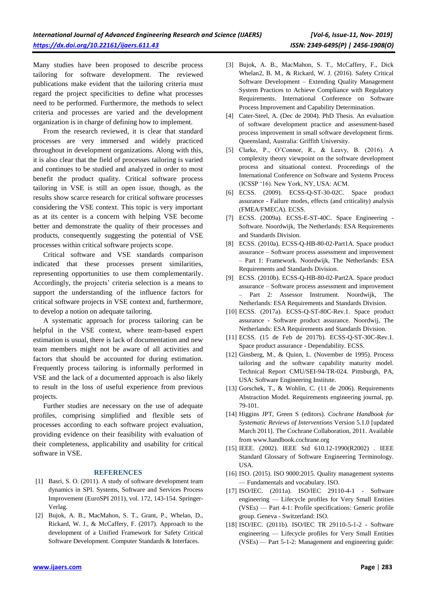Many studies have been proposed to describe process tailoring for software development. The reviewed publications make evident that the tailoring criteria must regard the project specificities to define what processes need to be performed. Furthermore, the methods to select criteria and processes are varied and the development organization is in charge of defining how to implement.

From the research reviewed, it is clear that standard processes are very immersed and widely practiced throughout in development organizations. Along with this, it is also clear that the field of processes tailoring is varied and continues to be studied and analyzed in order to most benefit the product quality. Critical software process tailoring in VSE is still an open issue, though, as the results show scarce research for critical software processes considering the VSE context. This topic is very important as at its center is a concern with helping VSE become better and demonstrate the quality of their processes and products, consequently suggesting the potential of VSE processes within critical software projects scope.

Critical software and VSE standards comparison indicated that these processes present similarities, representing opportunities to use them complementarily. Accordingly, the projects' criteria selection is a means to support the understanding of the influence factors for critical software projects in VSE context and, furthermore, to develop a notion on adequate tailoring.

A systematic approach for process tailoring can be helpful in the VSE context, where team-based expert estimation is usual, there is lack of documentation and new team members might not be aware of all activities and factors that should be accounted for during estimation. Frequently process tailoring is informally performed in VSE and the lack of a documented approach is also likely to result in the loss of useful experience from previous projects.

Further studies are necessary on the use of adequate profiles, comprising simplified and flexible sets of processes according to each software project evaluation, providing evidence on their feasibility with evaluation of their completeness, applicability and usability for critical software in VSE.

#### **REFERENCES**

- [1] Basri, S. O. (2011). A study of software development team dynamics in SPI. Systems, Software and Services Process Improvement (EuroSPI 2011), vol. 172, 143-154. Springer-Verlag.
- [2] Bujok, A. B., MacMahon, S. T., Grant, P., Whelan, D., Rickard, W. J., & McCaffery, F. (2017). Approach to the development of a Unified Framework for Safety Critical Software Development. Computer Standards & Interfaces.
- [3] Bujok, A. B., MacMahon, S. T., McCaffery, F., Dick Whelan2, B. M., & Rickard, W. J. (2016). Safety Critical Software Development – Extending Quality Management System Practices to Achieve Compliance with Regulatory Requirements. International Conference on Software Process Improvement and Capability Determination.
- [4] Cater-Steel, A. (Dec de 2004). PhD Thesis. An evaluation of software development practice and assessment-based process improvement in small software development firms. Queensland, Australia: Griffith University.
- [5] Clarke, P., O'Connor, R., & Leavy, B. (2016). A complexity theory viewpoint on the software development process and situational context. Proceedings of the International Conference on Software and Systems Process (ICSSP '16). New York, NY, USA: ACM.
- [6] ECSS. (2009). ECSS-Q-ST-30-02C. Space product assurance - Failure modes, effects (and criticality) analysis (FMEA/FMECA). ECSS.
- [7] ECSS. (2009a). ECSS-E-ST-40C. Space Engineering Software. Noordwijk, The Netherlands: ESA Requirements and Standards Division.
- [8] ECSS. (2010a). ECSS-Q-HB-80-02-Part1A. Space product assurance – Software process assessment and improvement – Part 1: Framework. Noordwijk, The Netherlands: ESA Requirements and Standards Division.
- [9] ECSS. (2010b). ECSS-Q-HB-80-02-Part2A. Space product assurance – Software process assessment and improvement – Part 2: Assessor Instrument. Noordwijk, The Netherlands: ESA Requirements and Standards Division.
- [10] ECSS. (2017a). ECSS-Q-ST-80C-Rev.1. Space product assurance - Software product assurance. Noordwij, The Netherlands: ESA Requirements and Standards Division.
- [11] ECSS. (15 de Feb de 2017b). ECSS-Q-ST-30C-Rev.1. Space product assurance - Dependability. ECSS.
- [12] Ginsberg, M., & Quinn, L. (November de 1995). Process tailoring and the software capability maturity model. Technical Report CMU/SEI-94-TR-024. Pittsburgh, PA, USA: Software Engineering Institute.
- [13] Gorschek, T., & Wohlin, C. (11 de 2006). Requirements Abstraction Model. Requirements engineering journal, pp. 79-101.
- [14] Higgins JPT, Green S (editors). *Cochrane Handbook for Systematic Reviews of Interventions* Version 5.1.0 [updated March 2011]. The Cochrane Collaboration, 2011. Available from www.handbook.cochrane.org
- [15] IEEE. (2002). IEEE Std 610.12-1990(R2002) . IEEE Standard Glossary of Software Engineering Terminology. USA.
- [16] ISO. (2015). ISO 9000:2015. Quality management systems — Fundamentals and vocabulary. ISO.
- [17] ISO/IEC. (2011a). ISO/IEC 29110-4-1 Software engineering — Lifecycle profiles for Very Small Entities (VSEs) — Part 4-1: Profile specifications: Generic profile group. Geneva - Switzerland: ISO.
- [18] ISO/IEC. (2011b). ISO/IEC TR 29110-5-1-2 Software engineering — Lifecycle profiles for Very Small Entities (VSEs) — Part 5-1-2: Management and engineering guide: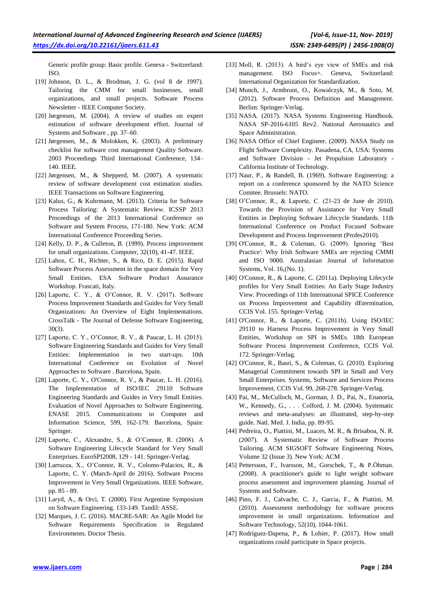Generic profile group: Basic profile. Geneva - Switzerland: ISO.

- [19] Johnson, D. L., & Brodman, J. G. (vol 8 de 1997). Tailoring the CMM for small businesses, small organizations, and small projects. Software Process Newsletter - IEEE Computer Society.
- [20] Jørgensen, M. (2004). A review of studies on expert estimation of software development effort. Journal of Systems and Software , pp. 37–60.
- [21] Jørgensen, M., & Molokken, K. (2003). A preliminary checklist for software cost management Quality Software. 2003 Proceedings Third International Conference, 134– 140. IEEE.
- [22] Jørgensen, M., & Shepperd, M. (2007). A systematic review of software development cost estimation studies. IEEE Transactions on Software Engineering.
- [23] Kalus, G., & Kuhrmann, M. (2013). Criteria for Software Process Tailoring: A Systematic Review. ICSSP 2013 Proceedings of the 2013 International Conference on Software and System Process, 171-180. New York: ACM International Conference Proceeding Series.
- [24] Kelly, D. P., & Culleton, B. (1999). Process improvement for small organizations. Computer, 32(10), 41-47. IEEE.
- [25] Lahoz, C. H., Richter, S., & Rico, D. E. (2015). Rapid Software Process Assessment in the space domain for Very Small Entities. ESA Software Product Assurance Workshop. Frascati, Italy.
- [26] Laporte, C. Y., & O'Connor, R. V. (2017). Software Process Improvement Standards and Guides for Very Small Organizations: An Overview of Eight Implementations. CrossTalk - The Journal of Defense Software Engineering, 30(3).
- [27] Laporte, C. Y., O'Connor, R. V., & Paucar, L. H. (2015). Software Engineering Standards and Guides for Very Small Entities: Implementation in two start-ups. 10th International Conference on Evolution of Novel Approaches to Software . Barcelona, Spain.
- [28] Laporte, C. Y., O'Connor, R. V., & Paucar, L. H. (2016). The Implementation of ISO/IEC 29110 Software Engineering Standards and Guides in Very Small Entities. Evaluation of Novel Approaches to Software Engineering. ENASE 2015. Communications in Computer and Information Science, 599, 162-179. Barcelona, Spain: Springer.
- [29] Laporte, C., Alexandre, S., & O'Connor, R. (2008). A Software Engineering Lifecycle Standard for Very Small Enterprises. EuroSPI2008, 129 - 141. Springer-Verlag.
- [30] Larrucea, X., O'Connor, R. V., Colomo-Palacios, R., & Laporte, C. Y. (March-April de 2016). Software Process Improvement in Very Small Organizations. IEEE Software, pp. 85 - 89.
- [31] Laryd, A., & Orci, T. (2000). First Argentine Symposium on Software Engineering. 133-149. Tandil: ASSE.
- [32] Marques, J. C. (2016). MACRE-SAR: An Agile Model for Software Requirements Specification in Regulated Environments. Doctor Thesis.
- [33] Moll, R. (2013). A bird's eye view of SMEs and risk management. ISO Focus+. Geneva, Switzerland: International Organization for Standardization.
- [34] Munch, J., Armbrunt, O., Kowalczyk, M., & Soto, M. (2012). Software Process Definition and Management. Berlim: Springer-Verlag.
- [35] NASA. (2017). NASA Systems Engineering Handbook. NASA SP-2016-6105 Rev2. National Aeronautics and Space Administration.
- [36] NASA Office of Chief Engineer. (2009). NASA Study on Flight Software Complexity. Pasadena, CA, USA: Systems and Software Division - Jet Propulsion Laboratory - California Institute of Technology.
- [37] Naur, P., & Randell, B. (1969). Software Engineering: a report on a conference sponsored by the NATO Science Comitee. Brussels: NATO.
- [38] O'Connor, R., & Laporte, C. (21-23 de June de 2010). Towards the Provision of Assistance for Very Small Entities in Deploying Software Lifecycle Standards. 11th International Conference on Product Focused Software Development and Process Improvement (Profes2010).
- [39] O'Connor, R., & Coleman, G. (2009). Ignoring 'Best Practice': Why Irish Software SMEs are rejecting CMMI and ISO 9000. Australasian Journal of Information Systems, Vol. 16,(No. 1).
- [40] O'Connor, R., & Laporte, C. (2011a). Deploying Lifecycle profiles for Very Small Entities: An Early Stage Industry View. Proceedings of 11th International SPICE Conference on Process Improvement and Capability dEtermination, CCIS Vol. 155. Springer-Verlag.
- [41] O'Connor, R., & Laporte, C. (2011b). Using ISO/IEC 29110 to Harness Process Improvement in Very Small Entities, Workshop on SPI in SMEs. 18th European Software Process Improvement Conference, CCIS Vol. 172. Springer-Verlag.
- [42] O'Connor, R., Basri, S., & Coleman, G. (2010). Exploring Managerial Commitment towards SPI in Small and Very Small Enterprises. Systems, Software and Services Process Improvement, CCIS Vol. 99, 268-278. Springer-Verlag.
- [43] Pai, M., McCulloch, M., Gorman, J. D., Pai, N., Enanoria, W., Kennedy, G., . . . Colford, J. M. (2004). Systematic reviews and meta-analyses: an illustrated, step-by-step guide. Natl. Med. J. India, pp. 89-95.
- [44] Pedreira, O., Piattini, M., Luaces, M. R., & Brisaboa, N. R. (2007). A Systematic Review of Software Process Tailoring. ACM SIGSOFT Software Engineering Notes, Volume 32 (Issue 3). New York: ACM .
- [45] Pettersson, F., Ivarsson, M., Gorschek, T., & P.Öhman. (2008). A practitioner's guide to light weight software process assessment and improvement planning. Journal of Systems and Software.
- [46] Pino, F. J., Calvache, C. J., Garcia, F., & Piattini, M. (2010). Assessment methodology for software process improvement in small organizations. Information and Software Technology, 52(10), 1044-1061.
- [47] Rodríguez-Dapena, P., & Lohier, P. (2017). How small organizations could participate in Space projects.